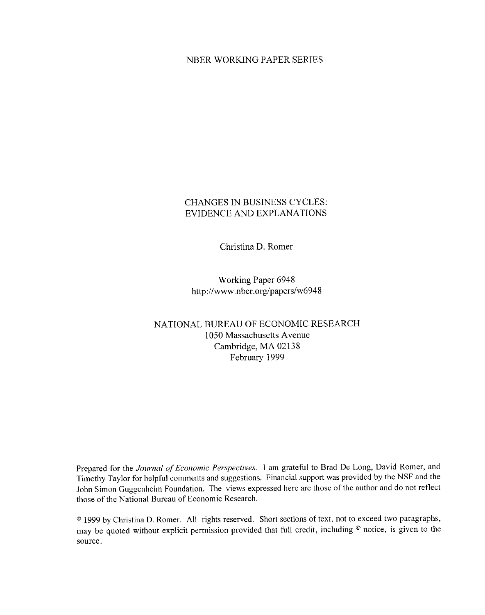### NBER WORKING PAPER SERIES

## **CHANGES IN BUSINESS CYCLES:** EVIDENCE AND EXPLANATIONS

Christina D. Romer

Working Paper 6948 http://www.nber.org/papers/w6948

## NATIONAL BUREAU OF ECONOMIC RESEARCH 1050 Massachusetts Avenue Cambridge, MA 02138 February 1999

Prepared for the Journal of Economic Perspectives. I am grateful to Brad De Long, David Romer, and Timothy Taylor for helpful comments and suggestions. Financial support was provided by the NSF and the John Simon Guggenheim Foundation. The views expressed here are those of the author and do not reflect those of the National Bureau of Economic Research.

<sup>®</sup> 1999 by Christina D. Romer. All rights reserved. Short sections of text, not to exceed two paragraphs, may be quoted without explicit permission provided that full credit, including  $\circ$  notice, is given to the source.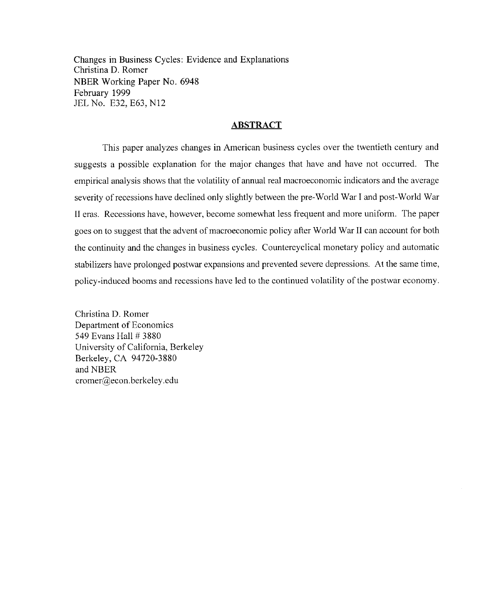Changes in Business Cycles: Evidence and Explanations Christina D. Romer NBER Working Paper No. 6948 February 1999 JEL No. E32, E63, N12

#### **ABSTRACT**

This paper analyzes changes in American business cycles over the twentieth century and suggests a possible explanation for the major changes that have and have not occurred. The empirical analysis shows that the volatility of annual real macroeconomic indicators and the average severity of recessions have declined only slightly between the pre-World War I and post-World War II eras. Recessions have, however, become somewhat less frequent and more uniform. The paper goes on to suggest that the advent of macroeconomic policy after World War II can account for both the continuity and the changes in business cycles. Countercyclical monetary policy and automatic stabilizers have prolonged postwar expansions and prevented severe depressions. At the same time, policy-induced booms and recessions have led to the continued volatility of the postwar economy.

Christina D. Romer Department of Economics 549 Evans Hall # 3880 University of California, Berkeley Berkeley, CA 94720-3880 and NBER cromer@econ.berkeley.edu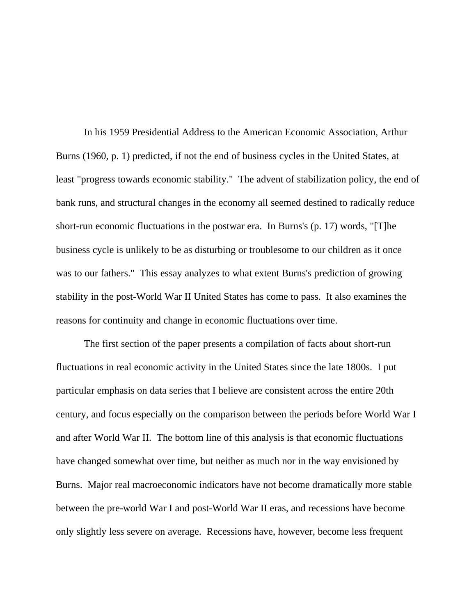In his 1959 Presidential Address to the American Economic Association, Arthur Burns (1960, p. 1) predicted, if not the end of business cycles in the United States, at least "progress towards economic stability." The advent of stabilization policy, the end of bank runs, and structural changes in the economy all seemed destined to radically reduce short-run economic fluctuations in the postwar era. In Burns's (p. 17) words, "[T]he business cycle is unlikely to be as disturbing or troublesome to our children as it once was to our fathers." This essay analyzes to what extent Burns's prediction of growing stability in the post-World War II United States has come to pass. It also examines the reasons for continuity and change in economic fluctuations over time.

The first section of the paper presents a compilation of facts about short-run fluctuations in real economic activity in the United States since the late 1800s. I put particular emphasis on data series that I believe are consistent across the entire 20th century, and focus especially on the comparison between the periods before World War I and after World War II. The bottom line of this analysis is that economic fluctuations have changed somewhat over time, but neither as much nor in the way envisioned by Burns. Major real macroeconomic indicators have not become dramatically more stable between the pre-world War I and post-World War II eras, and recessions have become only slightly less severe on average. Recessions have, however, become less frequent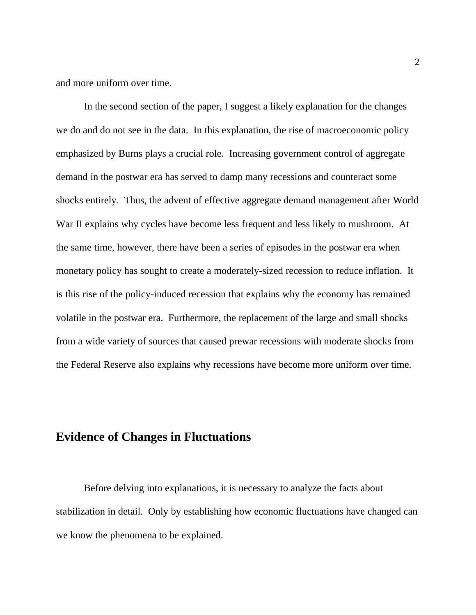and more uniform over time.

In the second section of the paper, I suggest a likely explanation for the changes we do and do not see in the data. In this explanation, the rise of macroeconomic policy emphasized by Burns plays a crucial role. Increasing government control of aggregate demand in the postwar era has served to damp many recessions and counteract some shocks entirely. Thus, the advent of effective aggregate demand management after World War II explains why cycles have become less frequent and less likely to mushroom. At the same time, however, there have been a series of episodes in the postwar era when monetary policy has sought to create a moderately-sized recession to reduce inflation. It is this rise of the policy-induced recession that explains why the economy has remained volatile in the postwar era. Furthermore, the replacement of the large and small shocks from a wide variety of sources that caused prewar recessions with moderate shocks from the Federal Reserve also explains why recessions have become more uniform over time.

## **Evidence of Changes in Fluctuations**

Before delving into explanations, it is necessary to analyze the facts about stabilization in detail. Only by establishing how economic fluctuations have changed can we know the phenomena to be explained.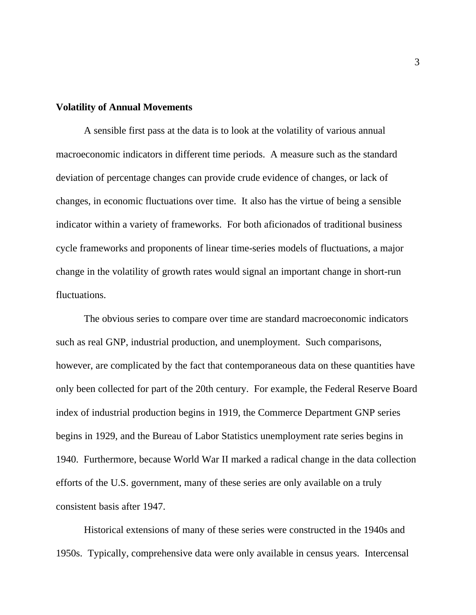#### **Volatility of Annual Movements**

A sensible first pass at the data is to look at the volatility of various annual macroeconomic indicators in different time periods. A measure such as the standard deviation of percentage changes can provide crude evidence of changes, or lack of changes, in economic fluctuations over time. It also has the virtue of being a sensible indicator within a variety of frameworks. For both aficionados of traditional business cycle frameworks and proponents of linear time-series models of fluctuations, a major change in the volatility of growth rates would signal an important change in short-run fluctuations.

The obvious series to compare over time are standard macroeconomic indicators such as real GNP, industrial production, and unemployment. Such comparisons, however, are complicated by the fact that contemporaneous data on these quantities have only been collected for part of the 20th century. For example, the Federal Reserve Board index of industrial production begins in 1919, the Commerce Department GNP series begins in 1929, and the Bureau of Labor Statistics unemployment rate series begins in 1940. Furthermore, because World War II marked a radical change in the data collection efforts of the U.S. government, many of these series are only available on a truly consistent basis after 1947.

Historical extensions of many of these series were constructed in the 1940s and 1950s. Typically, comprehensive data were only available in census years. Intercensal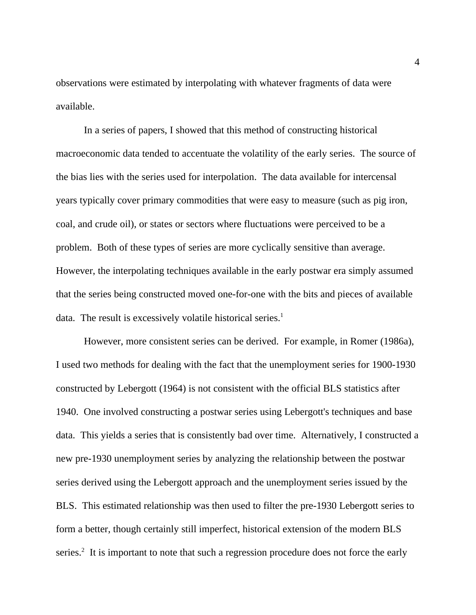observations were estimated by interpolating with whatever fragments of data were available.

In a series of papers, I showed that this method of constructing historical macroeconomic data tended to accentuate the volatility of the early series. The source of the bias lies with the series used for interpolation. The data available for intercensal years typically cover primary commodities that were easy to measure (such as pig iron, coal, and crude oil), or states or sectors where fluctuations were perceived to be a problem. Both of these types of series are more cyclically sensitive than average. However, the interpolating techniques available in the early postwar era simply assumed that the series being constructed moved one-for-one with the bits and pieces of available data. The result is excessively volatile historical series.<sup>1</sup>

However, more consistent series can be derived. For example, in Romer (1986a), I used two methods for dealing with the fact that the unemployment series for 1900-1930 constructed by Lebergott (1964) is not consistent with the official BLS statistics after 1940. One involved constructing a postwar series using Lebergott's techniques and base data. This yields a series that is consistently bad over time. Alternatively, I constructed a new pre-1930 unemployment series by analyzing the relationship between the postwar series derived using the Lebergott approach and the unemployment series issued by the BLS. This estimated relationship was then used to filter the pre-1930 Lebergott series to form a better, though certainly still imperfect, historical extension of the modern BLS series.<sup>2</sup> It is important to note that such a regression procedure does not force the early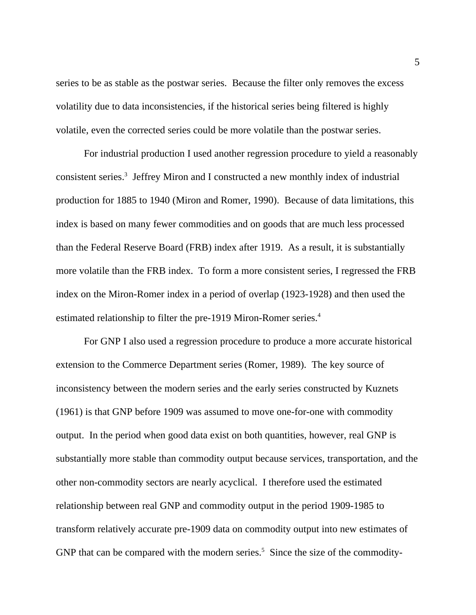series to be as stable as the postwar series. Because the filter only removes the excess volatility due to data inconsistencies, if the historical series being filtered is highly volatile, even the corrected series could be more volatile than the postwar series.

For industrial production I used another regression procedure to yield a reasonably consistent series.<sup>3</sup> Jeffrey Miron and I constructed a new monthly index of industrial production for 1885 to 1940 (Miron and Romer, 1990). Because of data limitations, this index is based on many fewer commodities and on goods that are much less processed than the Federal Reserve Board (FRB) index after 1919. As a result, it is substantially more volatile than the FRB index. To form a more consistent series, I regressed the FRB index on the Miron-Romer index in a period of overlap (1923-1928) and then used the estimated relationship to filter the pre-1919 Miron-Romer series.<sup>4</sup>

For GNP I also used a regression procedure to produce a more accurate historical extension to the Commerce Department series (Romer, 1989). The key source of inconsistency between the modern series and the early series constructed by Kuznets (1961) is that GNP before 1909 was assumed to move one-for-one with commodity output. In the period when good data exist on both quantities, however, real GNP is substantially more stable than commodity output because services, transportation, and the other non-commodity sectors are nearly acyclical. I therefore used the estimated relationship between real GNP and commodity output in the period 1909-1985 to transform relatively accurate pre-1909 data on commodity output into new estimates of GNP that can be compared with the modern series.<sup>5</sup> Since the size of the commodity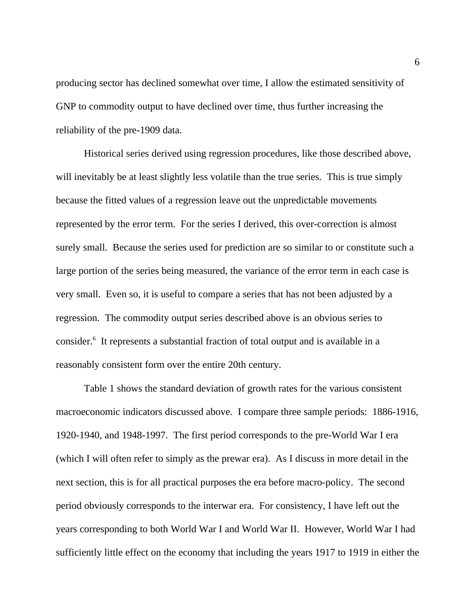producing sector has declined somewhat over time, I allow the estimated sensitivity of GNP to commodity output to have declined over time, thus further increasing the reliability of the pre-1909 data.

Historical series derived using regression procedures, like those described above, will inevitably be at least slightly less volatile than the true series. This is true simply because the fitted values of a regression leave out the unpredictable movements represented by the error term. For the series I derived, this over-correction is almost surely small. Because the series used for prediction are so similar to or constitute such a large portion of the series being measured, the variance of the error term in each case is very small. Even so, it is useful to compare a series that has not been adjusted by a regression. The commodity output series described above is an obvious series to consider.<sup>6</sup> It represents a substantial fraction of total output and is available in a reasonably consistent form over the entire 20th century.

Table 1 shows the standard deviation of growth rates for the various consistent macroeconomic indicators discussed above. I compare three sample periods: 1886-1916, 1920-1940, and 1948-1997. The first period corresponds to the pre-World War I era (which I will often refer to simply as the prewar era). As I discuss in more detail in the next section, this is for all practical purposes the era before macro-policy. The second period obviously corresponds to the interwar era. For consistency, I have left out the years corresponding to both World War I and World War II. However, World War I had sufficiently little effect on the economy that including the years 1917 to 1919 in either the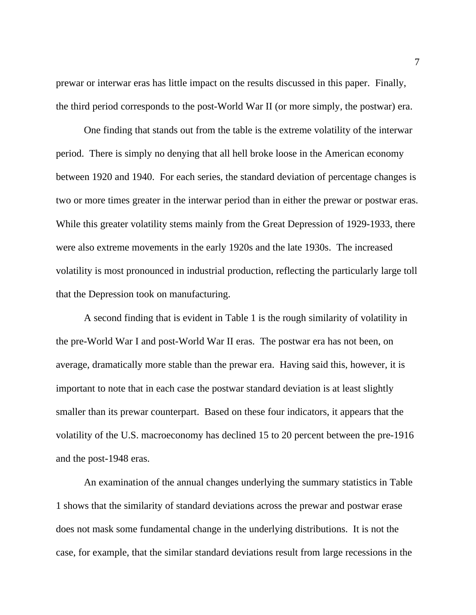prewar or interwar eras has little impact on the results discussed in this paper. Finally, the third period corresponds to the post-World War II (or more simply, the postwar) era.

One finding that stands out from the table is the extreme volatility of the interwar period. There is simply no denying that all hell broke loose in the American economy between 1920 and 1940. For each series, the standard deviation of percentage changes is two or more times greater in the interwar period than in either the prewar or postwar eras. While this greater volatility stems mainly from the Great Depression of 1929-1933, there were also extreme movements in the early 1920s and the late 1930s. The increased volatility is most pronounced in industrial production, reflecting the particularly large toll that the Depression took on manufacturing.

A second finding that is evident in Table 1 is the rough similarity of volatility in the pre-World War I and post-World War II eras. The postwar era has not been, on average, dramatically more stable than the prewar era. Having said this, however, it is important to note that in each case the postwar standard deviation is at least slightly smaller than its prewar counterpart. Based on these four indicators, it appears that the volatility of the U.S. macroeconomy has declined 15 to 20 percent between the pre-1916 and the post-1948 eras.

An examination of the annual changes underlying the summary statistics in Table 1 shows that the similarity of standard deviations across the prewar and postwar erase does not mask some fundamental change in the underlying distributions. It is not the case, for example, that the similar standard deviations result from large recessions in the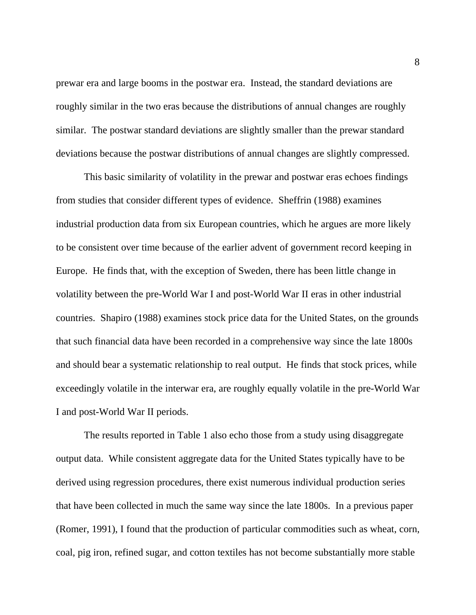prewar era and large booms in the postwar era. Instead, the standard deviations are roughly similar in the two eras because the distributions of annual changes are roughly similar. The postwar standard deviations are slightly smaller than the prewar standard deviations because the postwar distributions of annual changes are slightly compressed.

This basic similarity of volatility in the prewar and postwar eras echoes findings from studies that consider different types of evidence. Sheffrin (1988) examines industrial production data from six European countries, which he argues are more likely to be consistent over time because of the earlier advent of government record keeping in Europe. He finds that, with the exception of Sweden, there has been little change in volatility between the pre-World War I and post-World War II eras in other industrial countries. Shapiro (1988) examines stock price data for the United States, on the grounds that such financial data have been recorded in a comprehensive way since the late 1800s and should bear a systematic relationship to real output. He finds that stock prices, while exceedingly volatile in the interwar era, are roughly equally volatile in the pre-World War I and post-World War II periods.

The results reported in Table 1 also echo those from a study using disaggregate output data. While consistent aggregate data for the United States typically have to be derived using regression procedures, there exist numerous individual production series that have been collected in much the same way since the late 1800s. In a previous paper (Romer, 1991), I found that the production of particular commodities such as wheat, corn, coal, pig iron, refined sugar, and cotton textiles has not become substantially more stable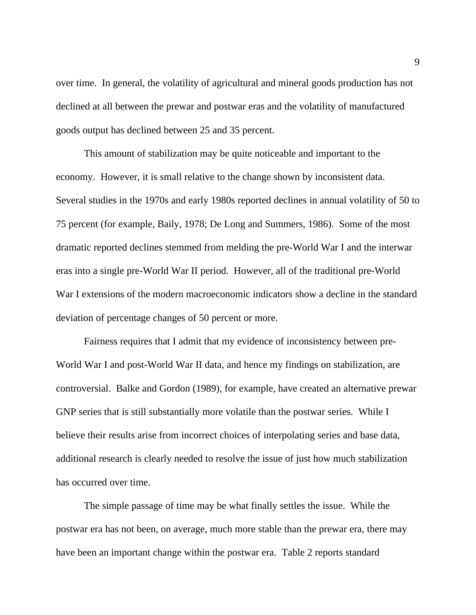over time. In general, the volatility of agricultural and mineral goods production has not declined at all between the prewar and postwar eras and the volatility of manufactured goods output has declined between 25 and 35 percent.

This amount of stabilization may be quite noticeable and important to the economy. However, it is small relative to the change shown by inconsistent data. Several studies in the 1970s and early 1980s reported declines in annual volatility of 50 to 75 percent (for example, Baily, 1978; De Long and Summers, 1986). Some of the most dramatic reported declines stemmed from melding the pre-World War I and the interwar eras into a single pre-World War II period. However, all of the traditional pre-World War I extensions of the modern macroeconomic indicators show a decline in the standard deviation of percentage changes of 50 percent or more.

Fairness requires that I admit that my evidence of inconsistency between pre-World War I and post-World War II data, and hence my findings on stabilization, are controversial. Balke and Gordon (1989), for example, have created an alternative prewar GNP series that is still substantially more volatile than the postwar series. While I believe their results arise from incorrect choices of interpolating series and base data, additional research is clearly needed to resolve the issue of just how much stabilization has occurred over time.

The simple passage of time may be what finally settles the issue. While the postwar era has not been, on average, much more stable than the prewar era, there may have been an important change within the postwar era. Table 2 reports standard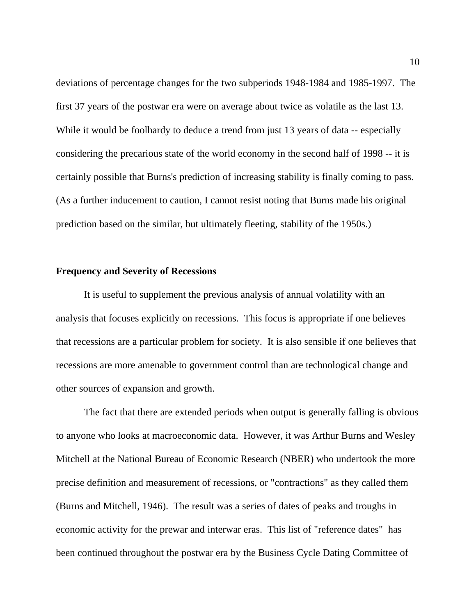deviations of percentage changes for the two subperiods 1948-1984 and 1985-1997. The first 37 years of the postwar era were on average about twice as volatile as the last 13. While it would be foolhardy to deduce a trend from just 13 years of data -- especially considering the precarious state of the world economy in the second half of 1998 -- it is certainly possible that Burns's prediction of increasing stability is finally coming to pass. (As a further inducement to caution, I cannot resist noting that Burns made his original prediction based on the similar, but ultimately fleeting, stability of the 1950s.)

### **Frequency and Severity of Recessions**

It is useful to supplement the previous analysis of annual volatility with an analysis that focuses explicitly on recessions. This focus is appropriate if one believes that recessions are a particular problem for society. It is also sensible if one believes that recessions are more amenable to government control than are technological change and other sources of expansion and growth.

The fact that there are extended periods when output is generally falling is obvious to anyone who looks at macroeconomic data. However, it was Arthur Burns and Wesley Mitchell at the National Bureau of Economic Research (NBER) who undertook the more precise definition and measurement of recessions, or "contractions" as they called them (Burns and Mitchell, 1946). The result was a series of dates of peaks and troughs in economic activity for the prewar and interwar eras. This list of "reference dates" has been continued throughout the postwar era by the Business Cycle Dating Committee of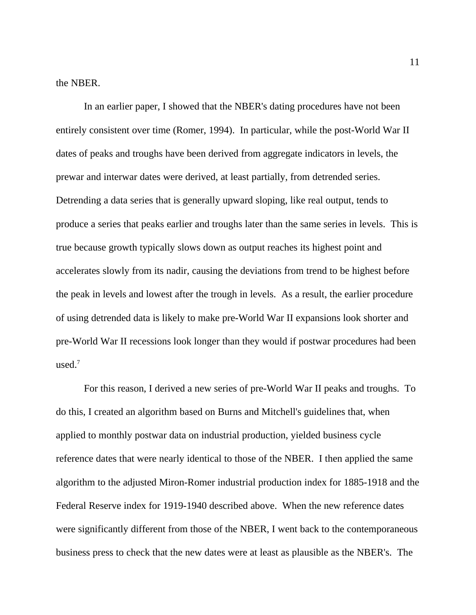the NBER.

In an earlier paper, I showed that the NBER's dating procedures have not been entirely consistent over time (Romer, 1994). In particular, while the post-World War II dates of peaks and troughs have been derived from aggregate indicators in levels, the prewar and interwar dates were derived, at least partially, from detrended series. Detrending a data series that is generally upward sloping, like real output, tends to produce a series that peaks earlier and troughs later than the same series in levels. This is true because growth typically slows down as output reaches its highest point and accelerates slowly from its nadir, causing the deviations from trend to be highest before the peak in levels and lowest after the trough in levels. As a result, the earlier procedure of using detrended data is likely to make pre-World War II expansions look shorter and pre-World War II recessions look longer than they would if postwar procedures had been used.<sup>7</sup>

For this reason, I derived a new series of pre-World War II peaks and troughs. To do this, I created an algorithm based on Burns and Mitchell's guidelines that, when applied to monthly postwar data on industrial production, yielded business cycle reference dates that were nearly identical to those of the NBER. I then applied the same algorithm to the adjusted Miron-Romer industrial production index for 1885-1918 and the Federal Reserve index for 1919-1940 described above. When the new reference dates were significantly different from those of the NBER, I went back to the contemporaneous business press to check that the new dates were at least as plausible as the NBER's. The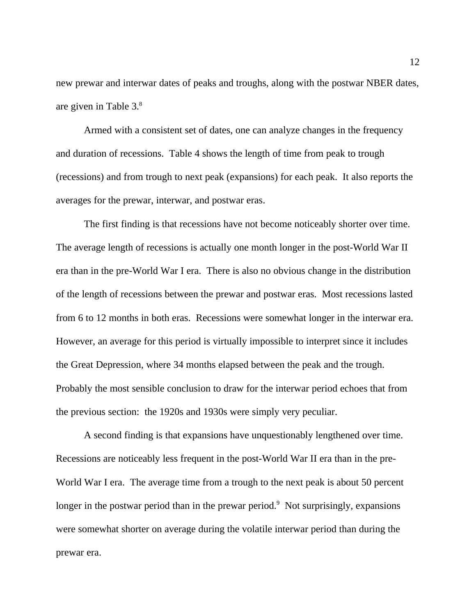new prewar and interwar dates of peaks and troughs, along with the postwar NBER dates, are given in Table 3.<sup>8</sup>

Armed with a consistent set of dates, one can analyze changes in the frequency and duration of recessions. Table 4 shows the length of time from peak to trough (recessions) and from trough to next peak (expansions) for each peak. It also reports the averages for the prewar, interwar, and postwar eras.

The first finding is that recessions have not become noticeably shorter over time. The average length of recessions is actually one month longer in the post-World War II era than in the pre-World War I era. There is also no obvious change in the distribution of the length of recessions between the prewar and postwar eras. Most recessions lasted from 6 to 12 months in both eras. Recessions were somewhat longer in the interwar era. However, an average for this period is virtually impossible to interpret since it includes the Great Depression, where 34 months elapsed between the peak and the trough. Probably the most sensible conclusion to draw for the interwar period echoes that from the previous section: the 1920s and 1930s were simply very peculiar.

A second finding is that expansions have unquestionably lengthened over time. Recessions are noticeably less frequent in the post-World War II era than in the pre-World War I era. The average time from a trough to the next peak is about 50 percent longer in the postwar period than in the prewar period.<sup>9</sup> Not surprisingly, expansions were somewhat shorter on average during the volatile interwar period than during the prewar era.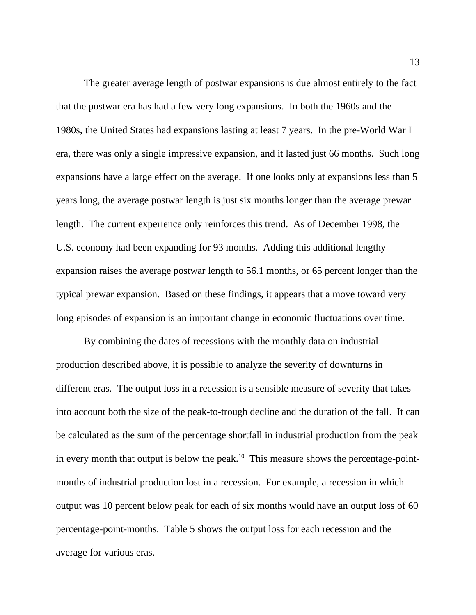The greater average length of postwar expansions is due almost entirely to the fact that the postwar era has had a few very long expansions. In both the 1960s and the 1980s, the United States had expansions lasting at least 7 years. In the pre-World War I era, there was only a single impressive expansion, and it lasted just 66 months. Such long expansions have a large effect on the average. If one looks only at expansions less than 5 years long, the average postwar length is just six months longer than the average prewar length. The current experience only reinforces this trend. As of December 1998, the U.S. economy had been expanding for 93 months. Adding this additional lengthy expansion raises the average postwar length to 56.1 months, or 65 percent longer than the typical prewar expansion. Based on these findings, it appears that a move toward very long episodes of expansion is an important change in economic fluctuations over time.

By combining the dates of recessions with the monthly data on industrial production described above, it is possible to analyze the severity of downturns in different eras. The output loss in a recession is a sensible measure of severity that takes into account both the size of the peak-to-trough decline and the duration of the fall. It can be calculated as the sum of the percentage shortfall in industrial production from the peak in every month that output is below the peak.<sup>10</sup> This measure shows the percentage-pointmonths of industrial production lost in a recession. For example, a recession in which output was 10 percent below peak for each of six months would have an output loss of 60 percentage-point-months. Table 5 shows the output loss for each recession and the average for various eras.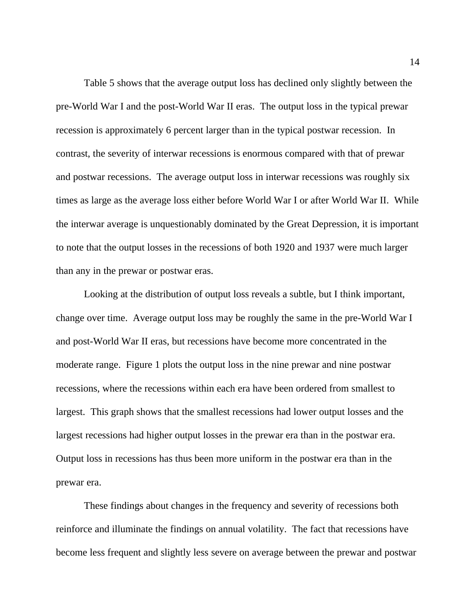Table 5 shows that the average output loss has declined only slightly between the pre-World War I and the post-World War II eras. The output loss in the typical prewar recession is approximately 6 percent larger than in the typical postwar recession. In contrast, the severity of interwar recessions is enormous compared with that of prewar and postwar recessions. The average output loss in interwar recessions was roughly six times as large as the average loss either before World War I or after World War II. While the interwar average is unquestionably dominated by the Great Depression, it is important to note that the output losses in the recessions of both 1920 and 1937 were much larger than any in the prewar or postwar eras.

Looking at the distribution of output loss reveals a subtle, but I think important, change over time. Average output loss may be roughly the same in the pre-World War I and post-World War II eras, but recessions have become more concentrated in the moderate range. Figure 1 plots the output loss in the nine prewar and nine postwar recessions, where the recessions within each era have been ordered from smallest to largest. This graph shows that the smallest recessions had lower output losses and the largest recessions had higher output losses in the prewar era than in the postwar era. Output loss in recessions has thus been more uniform in the postwar era than in the prewar era.

These findings about changes in the frequency and severity of recessions both reinforce and illuminate the findings on annual volatility. The fact that recessions have become less frequent and slightly less severe on average between the prewar and postwar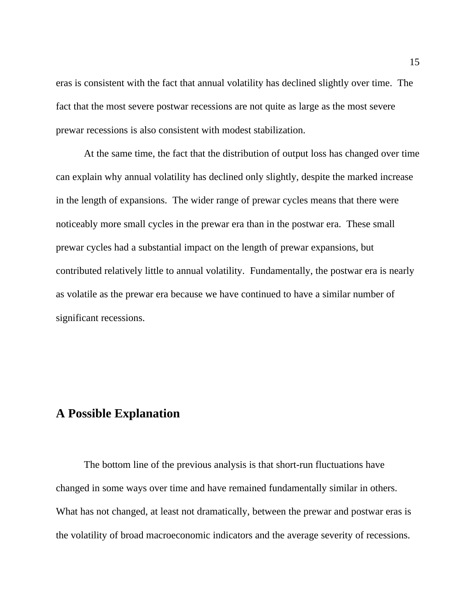eras is consistent with the fact that annual volatility has declined slightly over time. The fact that the most severe postwar recessions are not quite as large as the most severe prewar recessions is also consistent with modest stabilization.

At the same time, the fact that the distribution of output loss has changed over time can explain why annual volatility has declined only slightly, despite the marked increase in the length of expansions. The wider range of prewar cycles means that there were noticeably more small cycles in the prewar era than in the postwar era. These small prewar cycles had a substantial impact on the length of prewar expansions, but contributed relatively little to annual volatility. Fundamentally, the postwar era is nearly as volatile as the prewar era because we have continued to have a similar number of significant recessions.

## **A Possible Explanation**

The bottom line of the previous analysis is that short-run fluctuations have changed in some ways over time and have remained fundamentally similar in others. What has not changed, at least not dramatically, between the prewar and postwar eras is the volatility of broad macroeconomic indicators and the average severity of recessions.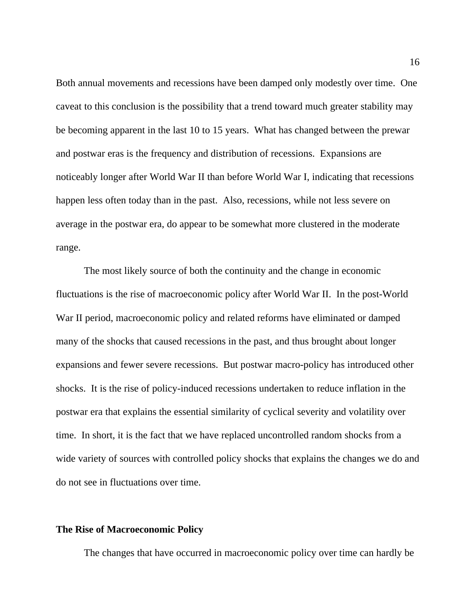Both annual movements and recessions have been damped only modestly over time. One caveat to this conclusion is the possibility that a trend toward much greater stability may be becoming apparent in the last 10 to 15 years. What has changed between the prewar and postwar eras is the frequency and distribution of recessions. Expansions are noticeably longer after World War II than before World War I, indicating that recessions happen less often today than in the past. Also, recessions, while not less severe on average in the postwar era, do appear to be somewhat more clustered in the moderate range.

The most likely source of both the continuity and the change in economic fluctuations is the rise of macroeconomic policy after World War II. In the post-World War II period, macroeconomic policy and related reforms have eliminated or damped many of the shocks that caused recessions in the past, and thus brought about longer expansions and fewer severe recessions. But postwar macro-policy has introduced other shocks. It is the rise of policy-induced recessions undertaken to reduce inflation in the postwar era that explains the essential similarity of cyclical severity and volatility over time. In short, it is the fact that we have replaced uncontrolled random shocks from a wide variety of sources with controlled policy shocks that explains the changes we do and do not see in fluctuations over time.

## **The Rise of Macroeconomic Policy**

The changes that have occurred in macroeconomic policy over time can hardly be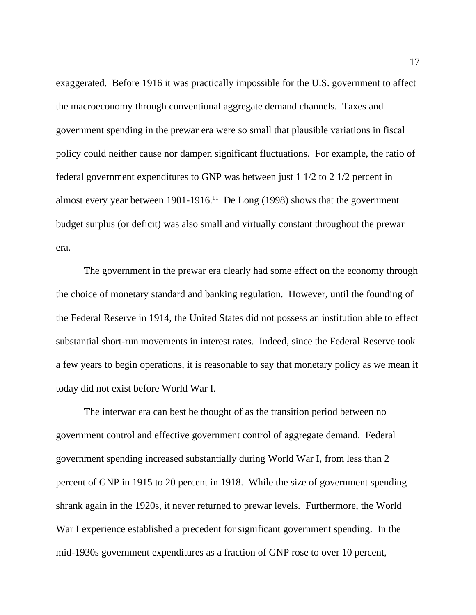exaggerated. Before 1916 it was practically impossible for the U.S. government to affect the macroeconomy through conventional aggregate demand channels. Taxes and government spending in the prewar era were so small that plausible variations in fiscal policy could neither cause nor dampen significant fluctuations. For example, the ratio of federal government expenditures to GNP was between just 1 1/2 to 2 1/2 percent in almost every year between  $1901-1916$ .<sup>11</sup> De Long (1998) shows that the government budget surplus (or deficit) was also small and virtually constant throughout the prewar era.

The government in the prewar era clearly had some effect on the economy through the choice of monetary standard and banking regulation. However, until the founding of the Federal Reserve in 1914, the United States did not possess an institution able to effect substantial short-run movements in interest rates. Indeed, since the Federal Reserve took a few years to begin operations, it is reasonable to say that monetary policy as we mean it today did not exist before World War I.

The interwar era can best be thought of as the transition period between no government control and effective government control of aggregate demand. Federal government spending increased substantially during World War I, from less than 2 percent of GNP in 1915 to 20 percent in 1918. While the size of government spending shrank again in the 1920s, it never returned to prewar levels. Furthermore, the World War I experience established a precedent for significant government spending. In the mid-1930s government expenditures as a fraction of GNP rose to over 10 percent,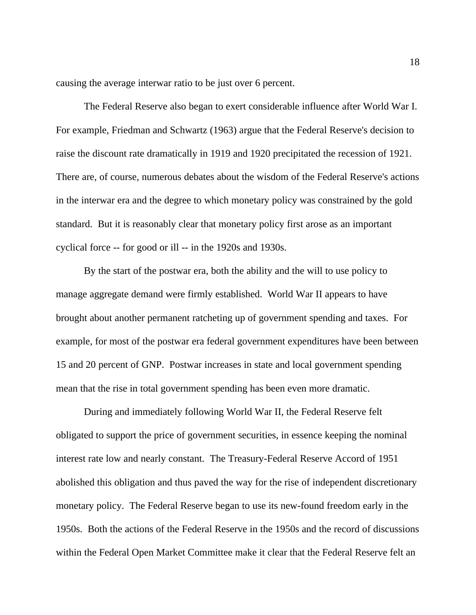causing the average interwar ratio to be just over 6 percent.

The Federal Reserve also began to exert considerable influence after World War I. For example, Friedman and Schwartz (1963) argue that the Federal Reserve's decision to raise the discount rate dramatically in 1919 and 1920 precipitated the recession of 1921. There are, of course, numerous debates about the wisdom of the Federal Reserve's actions in the interwar era and the degree to which monetary policy was constrained by the gold standard. But it is reasonably clear that monetary policy first arose as an important cyclical force -- for good or ill -- in the 1920s and 1930s.

By the start of the postwar era, both the ability and the will to use policy to manage aggregate demand were firmly established. World War II appears to have brought about another permanent ratcheting up of government spending and taxes. For example, for most of the postwar era federal government expenditures have been between 15 and 20 percent of GNP. Postwar increases in state and local government spending mean that the rise in total government spending has been even more dramatic.

During and immediately following World War II, the Federal Reserve felt obligated to support the price of government securities, in essence keeping the nominal interest rate low and nearly constant. The Treasury-Federal Reserve Accord of 1951 abolished this obligation and thus paved the way for the rise of independent discretionary monetary policy. The Federal Reserve began to use its new-found freedom early in the 1950s. Both the actions of the Federal Reserve in the 1950s and the record of discussions within the Federal Open Market Committee make it clear that the Federal Reserve felt an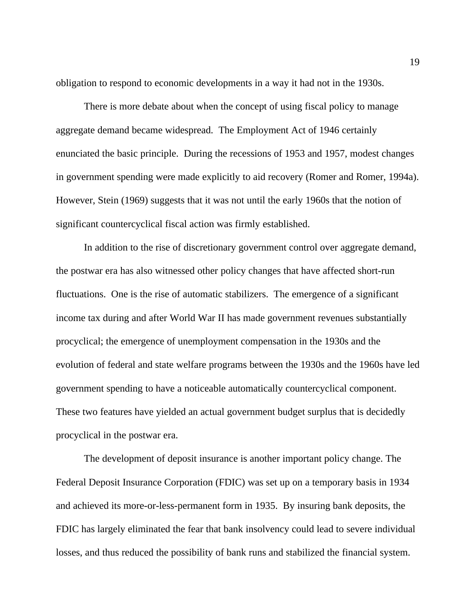obligation to respond to economic developments in a way it had not in the 1930s.

There is more debate about when the concept of using fiscal policy to manage aggregate demand became widespread. The Employment Act of 1946 certainly enunciated the basic principle. During the recessions of 1953 and 1957, modest changes in government spending were made explicitly to aid recovery (Romer and Romer, 1994a). However, Stein (1969) suggests that it was not until the early 1960s that the notion of significant countercyclical fiscal action was firmly established.

In addition to the rise of discretionary government control over aggregate demand, the postwar era has also witnessed other policy changes that have affected short-run fluctuations. One is the rise of automatic stabilizers. The emergence of a significant income tax during and after World War II has made government revenues substantially procyclical; the emergence of unemployment compensation in the 1930s and the evolution of federal and state welfare programs between the 1930s and the 1960s have led government spending to have a noticeable automatically countercyclical component. These two features have yielded an actual government budget surplus that is decidedly procyclical in the postwar era.

The development of deposit insurance is another important policy change. The Federal Deposit Insurance Corporation (FDIC) was set up on a temporary basis in 1934 and achieved its more-or-less-permanent form in 1935. By insuring bank deposits, the FDIC has largely eliminated the fear that bank insolvency could lead to severe individual losses, and thus reduced the possibility of bank runs and stabilized the financial system.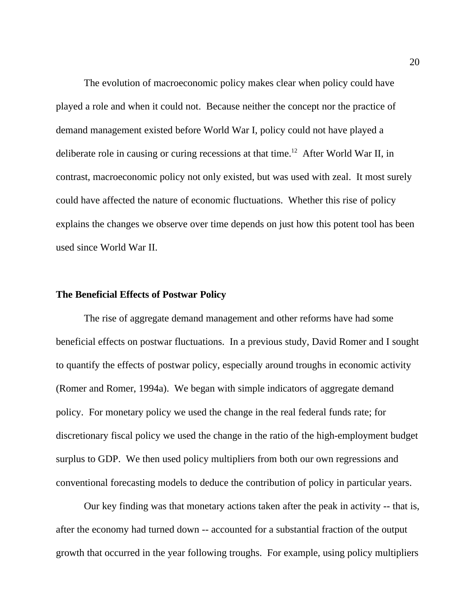The evolution of macroeconomic policy makes clear when policy could have played a role and when it could not. Because neither the concept nor the practice of demand management existed before World War I, policy could not have played a deliberate role in causing or curing recessions at that time.<sup>12</sup> After World War II, in contrast, macroeconomic policy not only existed, but was used with zeal. It most surely could have affected the nature of economic fluctuations. Whether this rise of policy explains the changes we observe over time depends on just how this potent tool has been used since World War II.

#### **The Beneficial Effects of Postwar Policy**

The rise of aggregate demand management and other reforms have had some beneficial effects on postwar fluctuations. In a previous study, David Romer and I sought to quantify the effects of postwar policy, especially around troughs in economic activity (Romer and Romer, 1994a). We began with simple indicators of aggregate demand policy. For monetary policy we used the change in the real federal funds rate; for discretionary fiscal policy we used the change in the ratio of the high-employment budget surplus to GDP. We then used policy multipliers from both our own regressions and conventional forecasting models to deduce the contribution of policy in particular years.

Our key finding was that monetary actions taken after the peak in activity -- that is, after the economy had turned down -- accounted for a substantial fraction of the output growth that occurred in the year following troughs. For example, using policy multipliers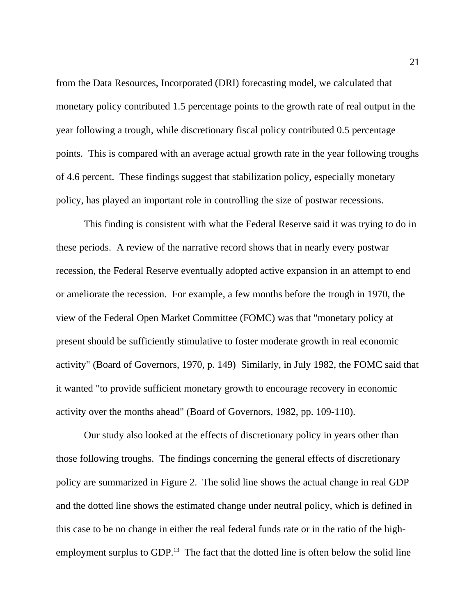from the Data Resources, Incorporated (DRI) forecasting model, we calculated that monetary policy contributed 1.5 percentage points to the growth rate of real output in the year following a trough, while discretionary fiscal policy contributed 0.5 percentage points. This is compared with an average actual growth rate in the year following troughs of 4.6 percent. These findings suggest that stabilization policy, especially monetary policy, has played an important role in controlling the size of postwar recessions.

This finding is consistent with what the Federal Reserve said it was trying to do in these periods. A review of the narrative record shows that in nearly every postwar recession, the Federal Reserve eventually adopted active expansion in an attempt to end or ameliorate the recession. For example, a few months before the trough in 1970, the view of the Federal Open Market Committee (FOMC) was that "monetary policy at present should be sufficiently stimulative to foster moderate growth in real economic activity" (Board of Governors, 1970, p. 149) Similarly, in July 1982, the FOMC said that it wanted "to provide sufficient monetary growth to encourage recovery in economic activity over the months ahead" (Board of Governors, 1982, pp. 109-110).

Our study also looked at the effects of discretionary policy in years other than those following troughs. The findings concerning the general effects of discretionary policy are summarized in Figure 2. The solid line shows the actual change in real GDP and the dotted line shows the estimated change under neutral policy, which is defined in this case to be no change in either the real federal funds rate or in the ratio of the highemployment surplus to GDP.<sup>13</sup> The fact that the dotted line is often below the solid line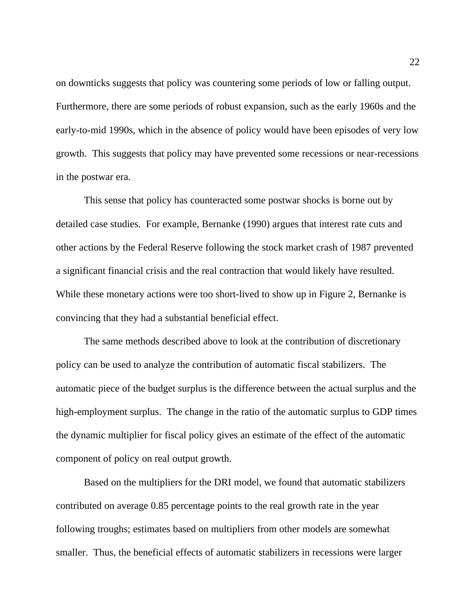on downticks suggests that policy was countering some periods of low or falling output. Furthermore, there are some periods of robust expansion, such as the early 1960s and the early-to-mid 1990s, which in the absence of policy would have been episodes of very low growth. This suggests that policy may have prevented some recessions or near-recessions in the postwar era.

This sense that policy has counteracted some postwar shocks is borne out by detailed case studies. For example, Bernanke (1990) argues that interest rate cuts and other actions by the Federal Reserve following the stock market crash of 1987 prevented a significant financial crisis and the real contraction that would likely have resulted. While these monetary actions were too short-lived to show up in Figure 2, Bernanke is convincing that they had a substantial beneficial effect.

The same methods described above to look at the contribution of discretionary policy can be used to analyze the contribution of automatic fiscal stabilizers. The automatic piece of the budget surplus is the difference between the actual surplus and the high-employment surplus. The change in the ratio of the automatic surplus to GDP times the dynamic multiplier for fiscal policy gives an estimate of the effect of the automatic component of policy on real output growth.

Based on the multipliers for the DRI model, we found that automatic stabilizers contributed on average 0.85 percentage points to the real growth rate in the year following troughs; estimates based on multipliers from other models are somewhat smaller. Thus, the beneficial effects of automatic stabilizers in recessions were larger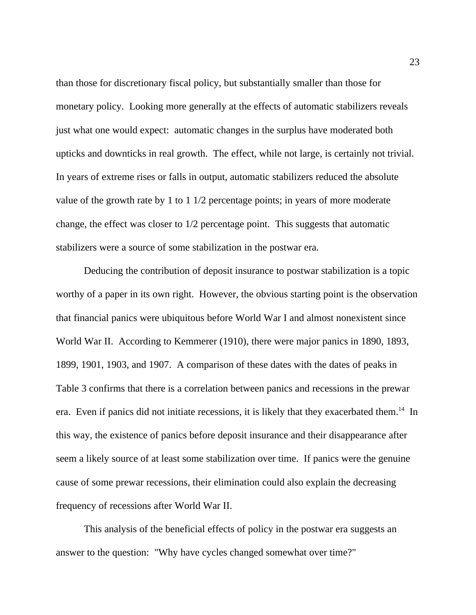than those for discretionary fiscal policy, but substantially smaller than those for monetary policy. Looking more generally at the effects of automatic stabilizers reveals just what one would expect: automatic changes in the surplus have moderated both upticks and downticks in real growth. The effect, while not large, is certainly not trivial. In years of extreme rises or falls in output, automatic stabilizers reduced the absolute value of the growth rate by 1 to 1 1/2 percentage points; in years of more moderate change, the effect was closer to 1/2 percentage point. This suggests that automatic stabilizers were a source of some stabilization in the postwar era.

Deducing the contribution of deposit insurance to postwar stabilization is a topic worthy of a paper in its own right. However, the obvious starting point is the observation that financial panics were ubiquitous before World War I and almost nonexistent since World War II. According to Kemmerer (1910), there were major panics in 1890, 1893, 1899, 1901, 1903, and 1907. A comparison of these dates with the dates of peaks in Table 3 confirms that there is a correlation between panics and recessions in the prewar era. Even if panics did not initiate recessions, it is likely that they exacerbated them.<sup>14</sup> In this way, the existence of panics before deposit insurance and their disappearance after seem a likely source of at least some stabilization over time. If panics were the genuine cause of some prewar recessions, their elimination could also explain the decreasing frequency of recessions after World War II.

This analysis of the beneficial effects of policy in the postwar era suggests an answer to the question: "Why have cycles changed somewhat over time?"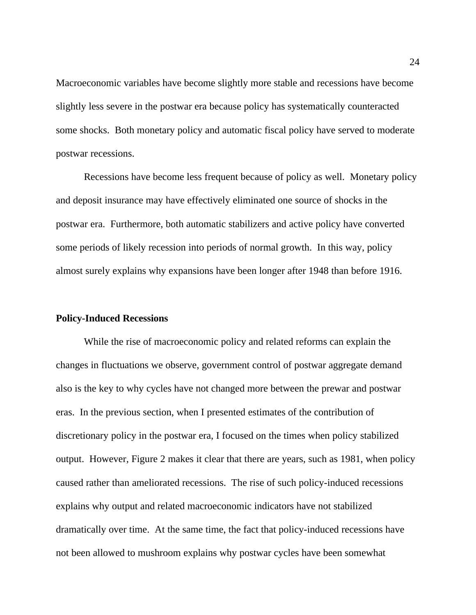Macroeconomic variables have become slightly more stable and recessions have become slightly less severe in the postwar era because policy has systematically counteracted some shocks. Both monetary policy and automatic fiscal policy have served to moderate postwar recessions.

Recessions have become less frequent because of policy as well. Monetary policy and deposit insurance may have effectively eliminated one source of shocks in the postwar era. Furthermore, both automatic stabilizers and active policy have converted some periods of likely recession into periods of normal growth. In this way, policy almost surely explains why expansions have been longer after 1948 than before 1916.

## **Policy-Induced Recessions**

While the rise of macroeconomic policy and related reforms can explain the changes in fluctuations we observe, government control of postwar aggregate demand also is the key to why cycles have not changed more between the prewar and postwar eras. In the previous section, when I presented estimates of the contribution of discretionary policy in the postwar era, I focused on the times when policy stabilized output. However, Figure 2 makes it clear that there are years, such as 1981, when policy caused rather than ameliorated recessions. The rise of such policy-induced recessions explains why output and related macroeconomic indicators have not stabilized dramatically over time. At the same time, the fact that policy-induced recessions have not been allowed to mushroom explains why postwar cycles have been somewhat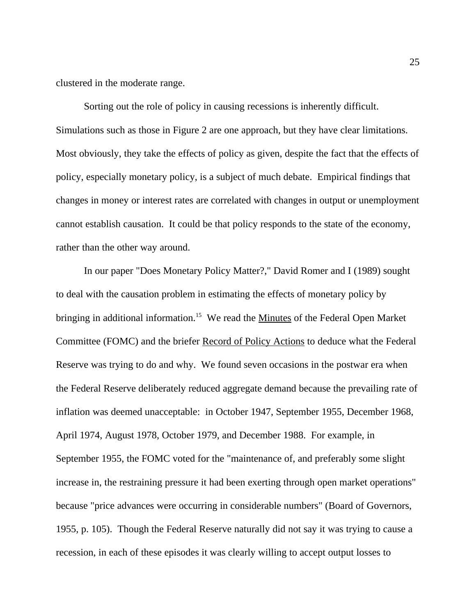clustered in the moderate range.

Sorting out the role of policy in causing recessions is inherently difficult. Simulations such as those in Figure 2 are one approach, but they have clear limitations. Most obviously, they take the effects of policy as given, despite the fact that the effects of policy, especially monetary policy, is a subject of much debate. Empirical findings that changes in money or interest rates are correlated with changes in output or unemployment cannot establish causation. It could be that policy responds to the state of the economy, rather than the other way around.

In our paper "Does Monetary Policy Matter?," David Romer and I (1989) sought to deal with the causation problem in estimating the effects of monetary policy by bringing in additional information.<sup>15</sup> We read the Minutes of the Federal Open Market Committee (FOMC) and the briefer Record of Policy Actions to deduce what the Federal Reserve was trying to do and why. We found seven occasions in the postwar era when the Federal Reserve deliberately reduced aggregate demand because the prevailing rate of inflation was deemed unacceptable: in October 1947, September 1955, December 1968, April 1974, August 1978, October 1979, and December 1988. For example, in September 1955, the FOMC voted for the "maintenance of, and preferably some slight increase in, the restraining pressure it had been exerting through open market operations" because "price advances were occurring in considerable numbers" (Board of Governors, 1955, p. 105). Though the Federal Reserve naturally did not say it was trying to cause a recession, in each of these episodes it was clearly willing to accept output losses to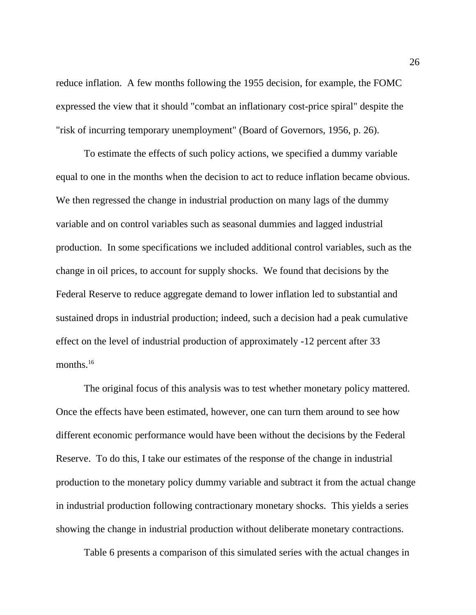reduce inflation. A few months following the 1955 decision, for example, the FOMC expressed the view that it should "combat an inflationary cost-price spiral" despite the "risk of incurring temporary unemployment" (Board of Governors, 1956, p. 26).

To estimate the effects of such policy actions, we specified a dummy variable equal to one in the months when the decision to act to reduce inflation became obvious. We then regressed the change in industrial production on many lags of the dummy variable and on control variables such as seasonal dummies and lagged industrial production. In some specifications we included additional control variables, such as the change in oil prices, to account for supply shocks. We found that decisions by the Federal Reserve to reduce aggregate demand to lower inflation led to substantial and sustained drops in industrial production; indeed, such a decision had a peak cumulative effect on the level of industrial production of approximately -12 percent after 33 months.<sup>16</sup>

The original focus of this analysis was to test whether monetary policy mattered. Once the effects have been estimated, however, one can turn them around to see how different economic performance would have been without the decisions by the Federal Reserve. To do this, I take our estimates of the response of the change in industrial production to the monetary policy dummy variable and subtract it from the actual change in industrial production following contractionary monetary shocks. This yields a series showing the change in industrial production without deliberate monetary contractions.

Table 6 presents a comparison of this simulated series with the actual changes in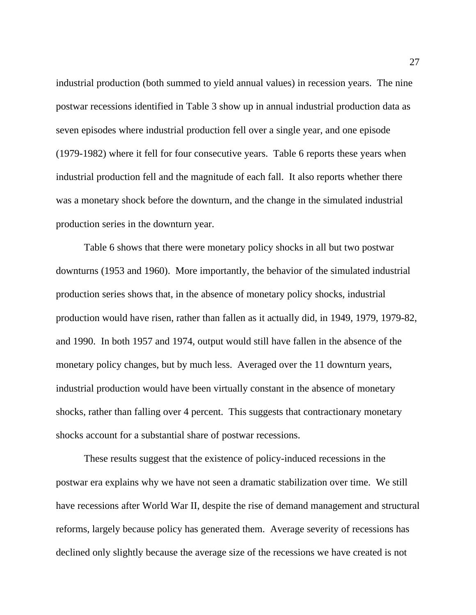industrial production (both summed to yield annual values) in recession years. The nine postwar recessions identified in Table 3 show up in annual industrial production data as seven episodes where industrial production fell over a single year, and one episode (1979-1982) where it fell for four consecutive years. Table 6 reports these years when industrial production fell and the magnitude of each fall. It also reports whether there was a monetary shock before the downturn, and the change in the simulated industrial production series in the downturn year.

Table 6 shows that there were monetary policy shocks in all but two postwar downturns (1953 and 1960). More importantly, the behavior of the simulated industrial production series shows that, in the absence of monetary policy shocks, industrial production would have risen, rather than fallen as it actually did, in 1949, 1979, 1979-82, and 1990. In both 1957 and 1974, output would still have fallen in the absence of the monetary policy changes, but by much less. Averaged over the 11 downturn years, industrial production would have been virtually constant in the absence of monetary shocks, rather than falling over 4 percent. This suggests that contractionary monetary shocks account for a substantial share of postwar recessions.

These results suggest that the existence of policy-induced recessions in the postwar era explains why we have not seen a dramatic stabilization over time. We still have recessions after World War II, despite the rise of demand management and structural reforms, largely because policy has generated them. Average severity of recessions has declined only slightly because the average size of the recessions we have created is not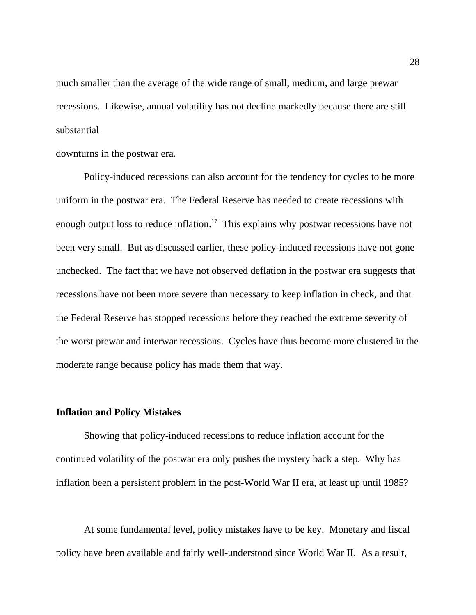much smaller than the average of the wide range of small, medium, and large prewar recessions. Likewise, annual volatility has not decline markedly because there are still substantial

downturns in the postwar era.

Policy-induced recessions can also account for the tendency for cycles to be more uniform in the postwar era. The Federal Reserve has needed to create recessions with enough output loss to reduce inflation.<sup>17</sup> This explains why postwar recessions have not been very small. But as discussed earlier, these policy-induced recessions have not gone unchecked. The fact that we have not observed deflation in the postwar era suggests that recessions have not been more severe than necessary to keep inflation in check, and that the Federal Reserve has stopped recessions before they reached the extreme severity of the worst prewar and interwar recessions. Cycles have thus become more clustered in the moderate range because policy has made them that way.

#### **Inflation and Policy Mistakes**

Showing that policy-induced recessions to reduce inflation account for the continued volatility of the postwar era only pushes the mystery back a step. Why has inflation been a persistent problem in the post-World War II era, at least up until 1985?

At some fundamental level, policy mistakes have to be key. Monetary and fiscal policy have been available and fairly well-understood since World War II. As a result,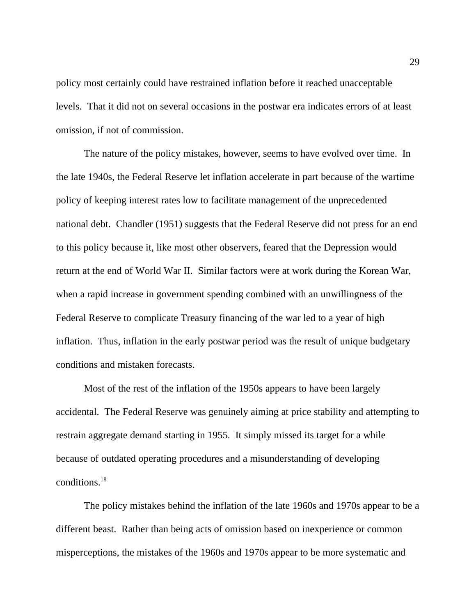policy most certainly could have restrained inflation before it reached unacceptable levels. That it did not on several occasions in the postwar era indicates errors of at least omission, if not of commission.

The nature of the policy mistakes, however, seems to have evolved over time. In the late 1940s, the Federal Reserve let inflation accelerate in part because of the wartime policy of keeping interest rates low to facilitate management of the unprecedented national debt. Chandler (1951) suggests that the Federal Reserve did not press for an end to this policy because it, like most other observers, feared that the Depression would return at the end of World War II. Similar factors were at work during the Korean War, when a rapid increase in government spending combined with an unwillingness of the Federal Reserve to complicate Treasury financing of the war led to a year of high inflation. Thus, inflation in the early postwar period was the result of unique budgetary conditions and mistaken forecasts.

Most of the rest of the inflation of the 1950s appears to have been largely accidental. The Federal Reserve was genuinely aiming at price stability and attempting to restrain aggregate demand starting in 1955. It simply missed its target for a while because of outdated operating procedures and a misunderstanding of developing conditions.<sup>18</sup>

 The policy mistakes behind the inflation of the late 1960s and 1970s appear to be a different beast. Rather than being acts of omission based on inexperience or common misperceptions, the mistakes of the 1960s and 1970s appear to be more systematic and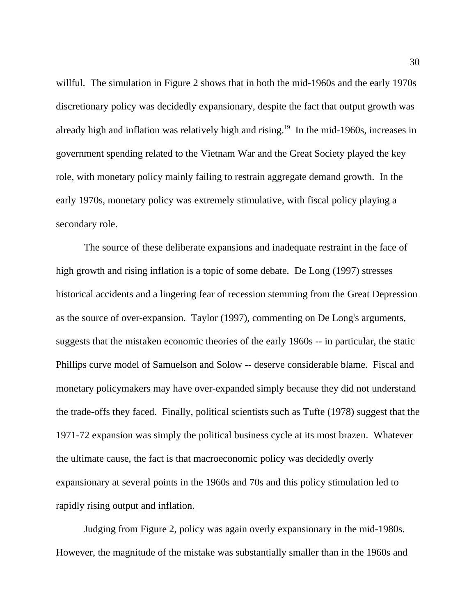willful. The simulation in Figure 2 shows that in both the mid-1960s and the early 1970s discretionary policy was decidedly expansionary, despite the fact that output growth was already high and inflation was relatively high and rising.<sup>19</sup> In the mid-1960s, increases in government spending related to the Vietnam War and the Great Society played the key role, with monetary policy mainly failing to restrain aggregate demand growth. In the early 1970s, monetary policy was extremely stimulative, with fiscal policy playing a secondary role.

The source of these deliberate expansions and inadequate restraint in the face of high growth and rising inflation is a topic of some debate. De Long (1997) stresses historical accidents and a lingering fear of recession stemming from the Great Depression as the source of over-expansion. Taylor (1997), commenting on De Long's arguments, suggests that the mistaken economic theories of the early 1960s -- in particular, the static Phillips curve model of Samuelson and Solow -- deserve considerable blame. Fiscal and monetary policymakers may have over-expanded simply because they did not understand the trade-offs they faced. Finally, political scientists such as Tufte (1978) suggest that the 1971-72 expansion was simply the political business cycle at its most brazen. Whatever the ultimate cause, the fact is that macroeconomic policy was decidedly overly expansionary at several points in the 1960s and 70s and this policy stimulation led to rapidly rising output and inflation.

Judging from Figure 2, policy was again overly expansionary in the mid-1980s. However, the magnitude of the mistake was substantially smaller than in the 1960s and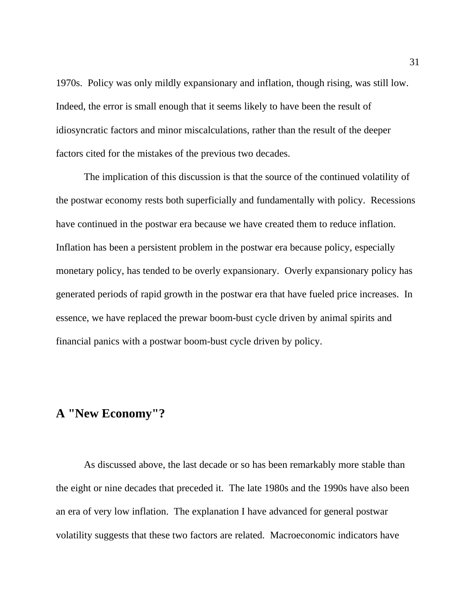1970s. Policy was only mildly expansionary and inflation, though rising, was still low. Indeed, the error is small enough that it seems likely to have been the result of idiosyncratic factors and minor miscalculations, rather than the result of the deeper factors cited for the mistakes of the previous two decades.

The implication of this discussion is that the source of the continued volatility of the postwar economy rests both superficially and fundamentally with policy. Recessions have continued in the postwar era because we have created them to reduce inflation. Inflation has been a persistent problem in the postwar era because policy, especially monetary policy, has tended to be overly expansionary. Overly expansionary policy has generated periods of rapid growth in the postwar era that have fueled price increases. In essence, we have replaced the prewar boom-bust cycle driven by animal spirits and financial panics with a postwar boom-bust cycle driven by policy.

## **A "New Economy"?**

As discussed above, the last decade or so has been remarkably more stable than the eight or nine decades that preceded it. The late 1980s and the 1990s have also been an era of very low inflation. The explanation I have advanced for general postwar volatility suggests that these two factors are related. Macroeconomic indicators have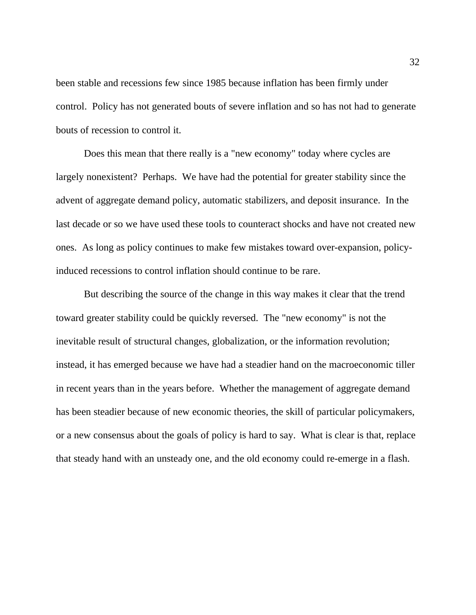been stable and recessions few since 1985 because inflation has been firmly under control. Policy has not generated bouts of severe inflation and so has not had to generate bouts of recession to control it.

Does this mean that there really is a "new economy" today where cycles are largely nonexistent? Perhaps. We have had the potential for greater stability since the advent of aggregate demand policy, automatic stabilizers, and deposit insurance. In the last decade or so we have used these tools to counteract shocks and have not created new ones. As long as policy continues to make few mistakes toward over-expansion, policyinduced recessions to control inflation should continue to be rare.

But describing the source of the change in this way makes it clear that the trend toward greater stability could be quickly reversed. The "new economy" is not the inevitable result of structural changes, globalization, or the information revolution; instead, it has emerged because we have had a steadier hand on the macroeconomic tiller in recent years than in the years before. Whether the management of aggregate demand has been steadier because of new economic theories, the skill of particular policymakers, or a new consensus about the goals of policy is hard to say. What is clear is that, replace that steady hand with an unsteady one, and the old economy could re-emerge in a flash.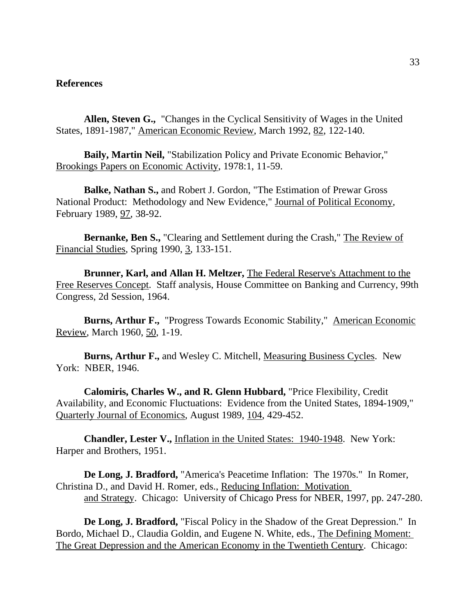## **References**

**Allen, Steven G.,** "Changes in the Cyclical Sensitivity of Wages in the United States, 1891-1987," American Economic Review, March 1992, 82, 122-140.

**Baily, Martin Neil,** "Stabilization Policy and Private Economic Behavior," Brookings Papers on Economic Activity, 1978:1, 11-59.

**Balke, Nathan S.,** and Robert J. Gordon, "The Estimation of Prewar Gross National Product: Methodology and New Evidence," Journal of Political Economy, February 1989, 97, 38-92.

**Bernanke, Ben S.,** "Clearing and Settlement during the Crash," The Review of Financial Studies, Spring 1990, 3, 133-151.

**Brunner, Karl, and Allan H. Meltzer,** The Federal Reserve's Attachment to the Free Reserves Concept. Staff analysis, House Committee on Banking and Currency, 99th Congress, 2d Session, 1964.

**Burns, Arthur F.,** "Progress Towards Economic Stability," American Economic Review, March 1960, 50, 1-19.

**Burns, Arthur F.,** and Wesley C. Mitchell, Measuring Business Cycles. New York: NBER, 1946.

**Calomiris, Charles W., and R. Glenn Hubbard,** "Price Flexibility, Credit Availability, and Economic Fluctuations: Evidence from the United States, 1894-1909," Quarterly Journal of Economics, August 1989, 104, 429-452.

**Chandler, Lester V.,** Inflation in the United States: 1940-1948. New York: Harper and Brothers, 1951.

**De Long, J. Bradford,** "America's Peacetime Inflation: The 1970s." In Romer, Christina D., and David H. Romer, eds., Reducing Inflation: Motivation and Strategy. Chicago: University of Chicago Press for NBER, 1997, pp. 247-280.

**De Long, J. Bradford,** "Fiscal Policy in the Shadow of the Great Depression." In Bordo, Michael D., Claudia Goldin, and Eugene N. White, eds., The Defining Moment: The Great Depression and the American Economy in the Twentieth Century. Chicago: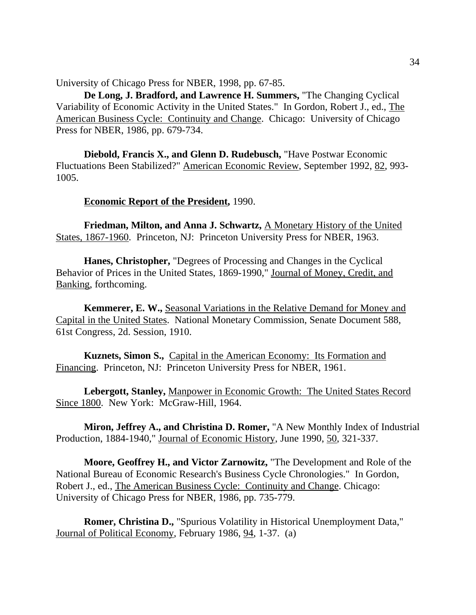University of Chicago Press for NBER, 1998, pp. 67-85.

**De Long, J. Bradford, and Lawrence H. Summers,** "The Changing Cyclical Variability of Economic Activity in the United States." In Gordon, Robert J., ed., The American Business Cycle: Continuity and Change. Chicago: University of Chicago Press for NBER, 1986, pp. 679-734.

**Diebold, Francis X., and Glenn D. Rudebusch,** "Have Postwar Economic Fluctuations Been Stabilized?" American Economic Review, September 1992, 82, 993- 1005.

### **Economic Report of the President,** 1990.

**Friedman, Milton, and Anna J. Schwartz, A Monetary History of the United** States, 1867-1960. Princeton, NJ: Princeton University Press for NBER, 1963.

**Hanes, Christopher,** "Degrees of Processing and Changes in the Cyclical Behavior of Prices in the United States, 1869-1990," Journal of Money, Credit, and Banking, forthcoming.

**Kemmerer, E. W.,** Seasonal Variations in the Relative Demand for Money and Capital in the United States. National Monetary Commission, Senate Document 588, 61st Congress, 2d. Session, 1910.

**Kuznets, Simon S.,** Capital in the American Economy: Its Formation and Financing. Princeton, NJ: Princeton University Press for NBER, 1961.

**Lebergott, Stanley,** Manpower in Economic Growth: The United States Record Since 1800. New York: McGraw-Hill, 1964.

**Miron, Jeffrey A., and Christina D. Romer,** "A New Monthly Index of Industrial Production, 1884-1940," Journal of Economic History, June 1990, 50, 321-337.

**Moore, Geoffrey H., and Victor Zarnowitz,** "The Development and Role of the National Bureau of Economic Research's Business Cycle Chronologies." In Gordon, Robert J., ed., The American Business Cycle: Continuity and Change. Chicago: University of Chicago Press for NBER, 1986, pp. 735-779.

**Romer, Christina D.,** "Spurious Volatility in Historical Unemployment Data," Journal of Political Economy, February 1986, 94, 1-37. (a)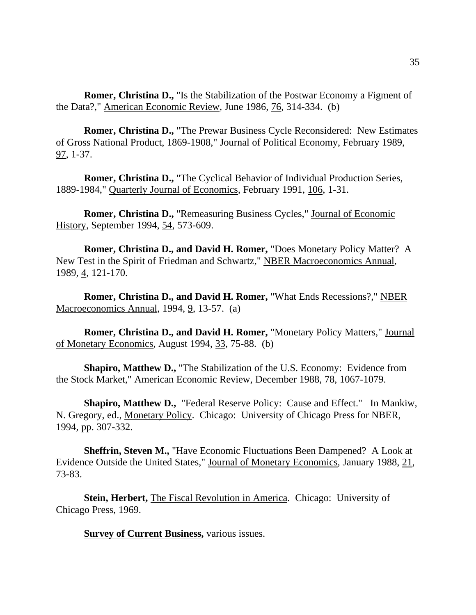**Romer, Christina D.,** "Is the Stabilization of the Postwar Economy a Figment of the Data?," American Economic Review, June 1986, 76, 314-334. (b)

**Romer, Christina D.,** "The Prewar Business Cycle Reconsidered: New Estimates of Gross National Product, 1869-1908," Journal of Political Economy, February 1989, 97, 1-37.

**Romer, Christina D.,** "The Cyclical Behavior of Individual Production Series, 1889-1984," Quarterly Journal of Economics, February 1991, 106, 1-31.

**Romer, Christina D.,** "Remeasuring Business Cycles," Journal of Economic History, September 1994, 54, 573-609.

**Romer, Christina D., and David H. Romer,** "Does Monetary Policy Matter? A New Test in the Spirit of Friedman and Schwartz," NBER Macroeconomics Annual, 1989, 4, 121-170.

**Romer, Christina D., and David H. Romer,** "What Ends Recessions?," NBER Macroeconomics Annual, 1994, 9, 13-57. (a)

**Romer, Christina D., and David H. Romer,** "Monetary Policy Matters," Journal of Monetary Economics, August 1994, 33, 75-88. (b)

**Shapiro, Matthew D.,** "The Stabilization of the U.S. Economy: Evidence from the Stock Market," American Economic Review, December 1988, 78, 1067-1079.

**Shapiro, Matthew D.,** "Federal Reserve Policy: Cause and Effect." In Mankiw, N. Gregory, ed., Monetary Policy. Chicago: University of Chicago Press for NBER, 1994, pp. 307-332.

**Sheffrin, Steven M.,** "Have Economic Fluctuations Been Dampened? A Look at Evidence Outside the United States," Journal of Monetary Economics, January 1988, 21, 73-83.

**Stein, Herbert,** The Fiscal Revolution in America. Chicago: University of Chicago Press, 1969.

**Survey of Current Business, various issues.**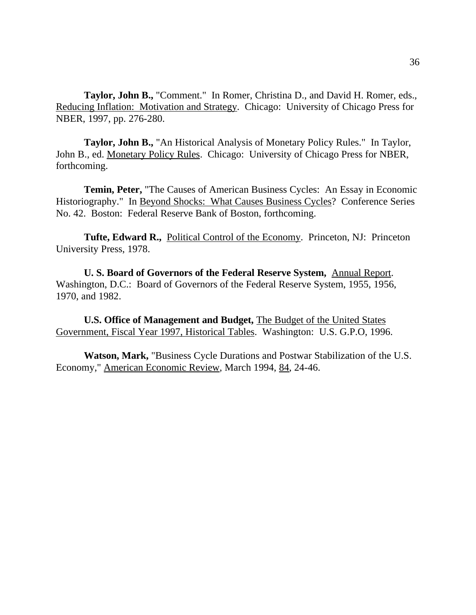**Taylor, John B.,** "Comment." In Romer, Christina D., and David H. Romer, eds., Reducing Inflation: Motivation and Strategy. Chicago: University of Chicago Press for NBER, 1997, pp. 276-280.

**Taylor, John B.,** "An Historical Analysis of Monetary Policy Rules." In Taylor, John B., ed. Monetary Policy Rules. Chicago: University of Chicago Press for NBER, forthcoming.

**Temin, Peter,** "The Causes of American Business Cycles: An Essay in Economic Historiography." In Beyond Shocks: What Causes Business Cycles? Conference Series No. 42. Boston: Federal Reserve Bank of Boston, forthcoming.

Tufte, Edward R., Political Control of the Economy. Princeton, NJ: Princeton University Press, 1978.

**U. S. Board of Governors of the Federal Reserve System,** Annual Report. Washington, D.C.: Board of Governors of the Federal Reserve System, 1955, 1956, 1970, and 1982.

**U.S. Office of Management and Budget,** The Budget of the United States Government, Fiscal Year 1997, Historical Tables. Washington: U.S. G.P.O, 1996.

**Watson, Mark,** "Business Cycle Durations and Postwar Stabilization of the U.S. Economy," American Economic Review, March 1994, 84, 24-46.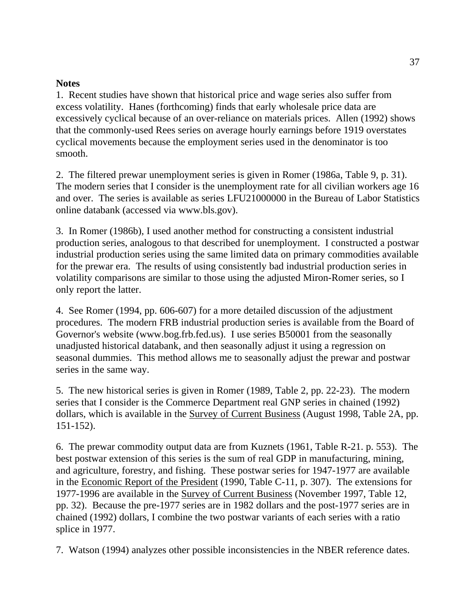## **Notes**

1. Recent studies have shown that historical price and wage series also suffer from excess volatility. Hanes (forthcoming) finds that early wholesale price data are excessively cyclical because of an over-reliance on materials prices. Allen (1992) shows that the commonly-used Rees series on average hourly earnings before 1919 overstates cyclical movements because the employment series used in the denominator is too smooth.

2. The filtered prewar unemployment series is given in Romer (1986a, Table 9, p. 31). The modern series that I consider is the unemployment rate for all civilian workers age 16 and over. The series is available as series LFU21000000 in the Bureau of Labor Statistics online databank (accessed via www.bls.gov).

3. In Romer (1986b), I used another method for constructing a consistent industrial production series, analogous to that described for unemployment. I constructed a postwar industrial production series using the same limited data on primary commodities available for the prewar era. The results of using consistently bad industrial production series in volatility comparisons are similar to those using the adjusted Miron-Romer series, so I only report the latter.

4. See Romer (1994, pp. 606-607) for a more detailed discussion of the adjustment procedures. The modern FRB industrial production series is available from the Board of Governor's website (www.bog.frb.fed.us). I use series B50001 from the seasonally unadjusted historical databank, and then seasonally adjust it using a regression on seasonal dummies. This method allows me to seasonally adjust the prewar and postwar series in the same way.

5. The new historical series is given in Romer (1989, Table 2, pp. 22-23). The modern series that I consider is the Commerce Department real GNP series in chained (1992) dollars, which is available in the Survey of Current Business (August 1998, Table 2A, pp. 151-152).

6. The prewar commodity output data are from Kuznets (1961, Table R-21. p. 553). The best postwar extension of this series is the sum of real GDP in manufacturing, mining, and agriculture, forestry, and fishing. These postwar series for 1947-1977 are available in the Economic Report of the President (1990, Table C-11, p. 307). The extensions for 1977-1996 are available in the Survey of Current Business (November 1997, Table 12, pp. 32). Because the pre-1977 series are in 1982 dollars and the post-1977 series are in chained (1992) dollars, I combine the two postwar variants of each series with a ratio splice in 1977.

7. Watson (1994) analyzes other possible inconsistencies in the NBER reference dates.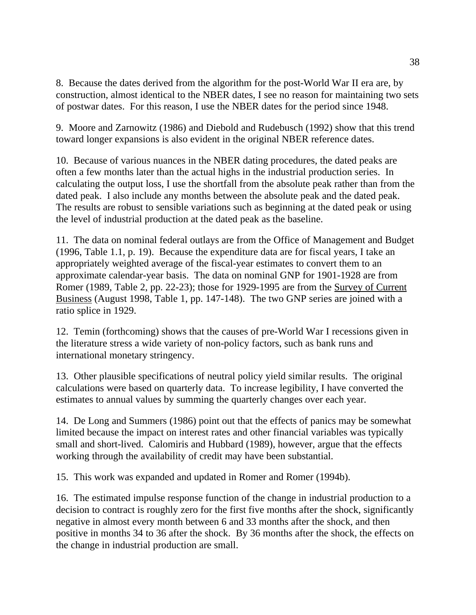8. Because the dates derived from the algorithm for the post-World War II era are, by construction, almost identical to the NBER dates, I see no reason for maintaining two sets of postwar dates. For this reason, I use the NBER dates for the period since 1948.

9. Moore and Zarnowitz (1986) and Diebold and Rudebusch (1992) show that this trend toward longer expansions is also evident in the original NBER reference dates.

10. Because of various nuances in the NBER dating procedures, the dated peaks are often a few months later than the actual highs in the industrial production series. In calculating the output loss, I use the shortfall from the absolute peak rather than from the dated peak. I also include any months between the absolute peak and the dated peak. The results are robust to sensible variations such as beginning at the dated peak or using the level of industrial production at the dated peak as the baseline.

11. The data on nominal federal outlays are from the Office of Management and Budget (1996, Table 1.1, p. 19). Because the expenditure data are for fiscal years, I take an appropriately weighted average of the fiscal-year estimates to convert them to an approximate calendar-year basis. The data on nominal GNP for 1901-1928 are from Romer (1989, Table 2, pp. 22-23); those for 1929-1995 are from the Survey of Current Business (August 1998, Table 1, pp. 147-148). The two GNP series are joined with a ratio splice in 1929.

12. Temin (forthcoming) shows that the causes of pre-World War I recessions given in the literature stress a wide variety of non-policy factors, such as bank runs and international monetary stringency.

13. Other plausible specifications of neutral policy yield similar results. The original calculations were based on quarterly data. To increase legibility, I have converted the estimates to annual values by summing the quarterly changes over each year.

14. De Long and Summers (1986) point out that the effects of panics may be somewhat limited because the impact on interest rates and other financial variables was typically small and short-lived. Calomiris and Hubbard (1989), however, argue that the effects working through the availability of credit may have been substantial.

15. This work was expanded and updated in Romer and Romer (1994b).

16. The estimated impulse response function of the change in industrial production to a decision to contract is roughly zero for the first five months after the shock, significantly negative in almost every month between 6 and 33 months after the shock, and then positive in months 34 to 36 after the shock. By 36 months after the shock, the effects on the change in industrial production are small.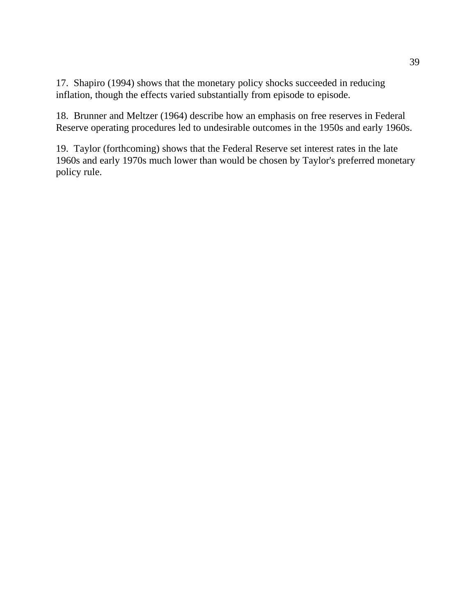17. Shapiro (1994) shows that the monetary policy shocks succeeded in reducing inflation, though the effects varied substantially from episode to episode.

18. Brunner and Meltzer (1964) describe how an emphasis on free reserves in Federal Reserve operating procedures led to undesirable outcomes in the 1950s and early 1960s.

19. Taylor (forthcoming) shows that the Federal Reserve set interest rates in the late 1960s and early 1970s much lower than would be chosen by Taylor's preferred monetary policy rule.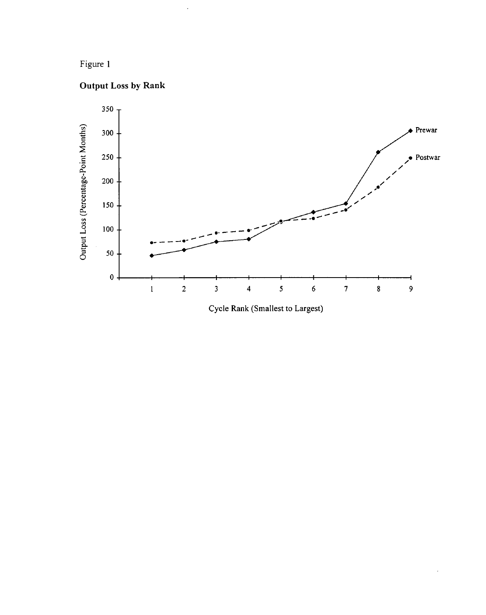# Figure 1





Cycle Rank (Smallest to Largest)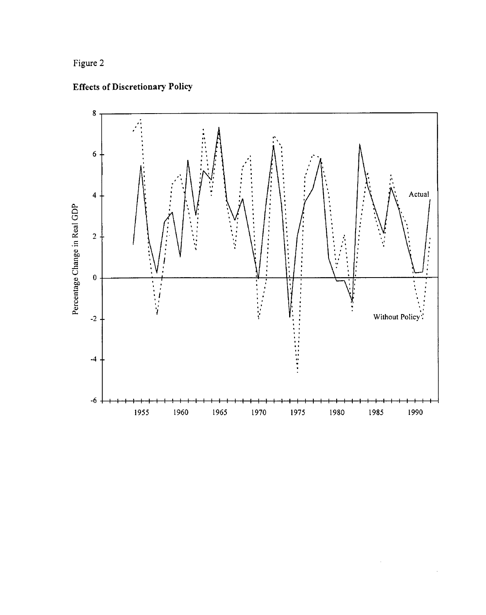# Figure 2





 $\hat{\mathcal{S}}$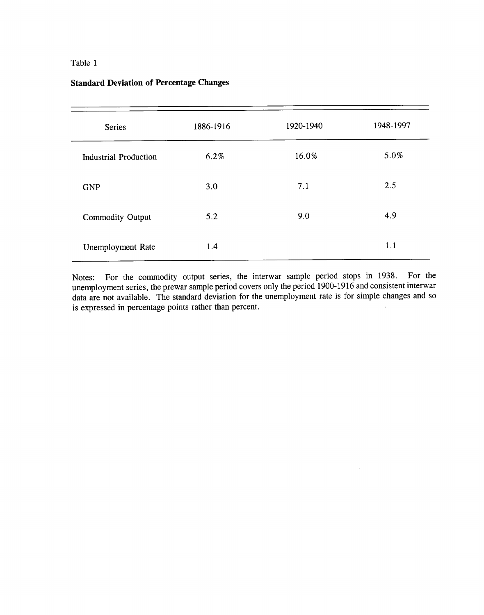| <b>Series</b>                | 1886-1916 | 1920-1940 | 1948-1997 |
|------------------------------|-----------|-----------|-----------|
| <b>Industrial Production</b> | 6.2%      | 16.0%     | 5.0%      |
| <b>GNP</b>                   | 3.0       | 7.1       | 2.5       |
| Commodity Output             | 5.2       | 9.0       | 4.9       |
| Unemployment Rate            | 1.4       |           | 1.1       |

## **Standard Deviation of Percentage Changes**

Notes: For the commodity output series, the interwar sample period stops in 1938. For the unemployment series, the prewar sample period covers only the period 1900-1916 and consistent interwar data are not available. The standard deviation for the unemployment rate is for simple changes and so is expressed in percentage points rather than percent.

 $\hat{\mathcal{A}}$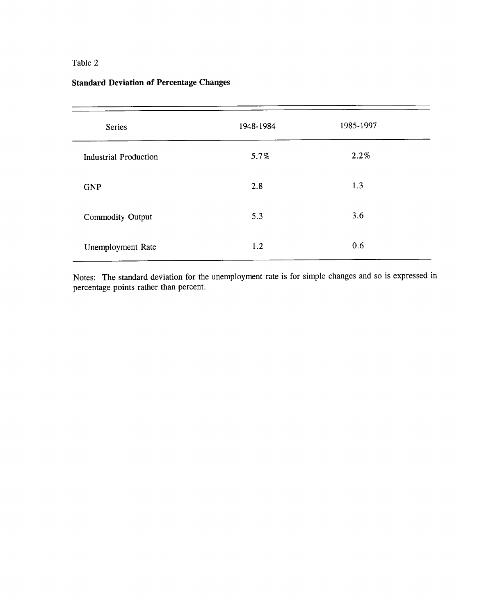| Series                       | 1948-1984 | 1985-1997 |  |
|------------------------------|-----------|-----------|--|
| <b>Industrial Production</b> | 5.7%      | 2.2%      |  |
| <b>GNP</b>                   | 2.8       | 1.3       |  |
| Commodity Output             | 5.3       | 3.6       |  |
| Unemployment Rate            | 1.2       | 0.6       |  |

# **Standard Deviation of Percentage Changes**

Notes: The standard deviation for the unemployment rate is for simple changes and so is expressed in percentage points rather than percent.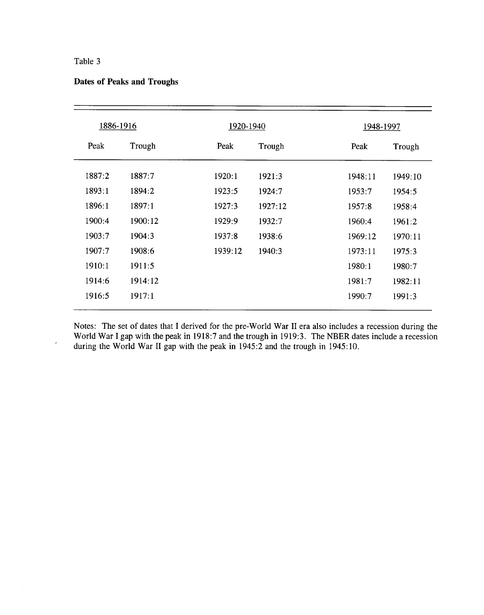$\epsilon$ 

|  |  | <b>Dates of Peaks and Troughs</b> |  |  |  |
|--|--|-----------------------------------|--|--|--|
|--|--|-----------------------------------|--|--|--|

| 1886-1916 |         | 1920-1940 |         |         | 1948-1997 |  |
|-----------|---------|-----------|---------|---------|-----------|--|
| Peak      | Trough  | Peak      | Trough  | Peak    | Trough    |  |
| 1887:2    | 1887:7  | 1920:1    | 1921:3  | 1948:11 | 1949:10   |  |
| 1893:1    | 1894:2  | 1923:5    | 1924:7  | 1953:7  | 1954:5    |  |
| 1896:1    | 1897:1  | 1927:3    | 1927:12 | 1957:8  | 1958:4    |  |
| 1900:4    | 1900:12 | 1929:9    | 1932:7  | 1960:4  | 1961:2    |  |
| 1903:7    | 1904:3  | 1937:8    | 1938:6  | 1969:12 | 1970:11   |  |
| 1907:7    | 1908:6  | 1939:12   | 1940:3  | 1973:11 | 1975:3    |  |
| 1910:1    | 1911:5  |           |         | 1980:1  | 1980:7    |  |
| 1914:6    | 1914:12 |           |         | 1981:7  | 1982:11   |  |
| 1916:5    | 1917:1  |           |         | 1990:7  | 1991:3    |  |

Notes: The set of dates that I derived for the pre-World War II era also includes a recession during the World War I gap with the peak in 1918:7 and the trough in 1919:3. The NBER dates include a recession during the World War II gap with the peak in 1945:2 and the trough in 1945:10.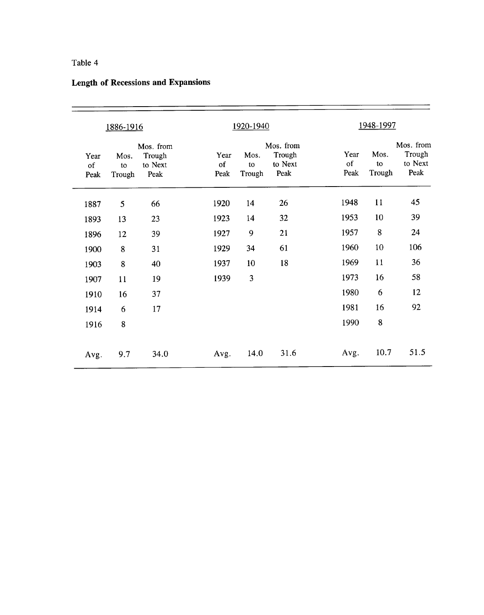|                    | <u>1886-1916</u>     |                                        |                    | 1920-1940               |                                        |                    | 1948-1997            |                                        |
|--------------------|----------------------|----------------------------------------|--------------------|-------------------------|----------------------------------------|--------------------|----------------------|----------------------------------------|
| Year<br>of<br>Peak | Mos.<br>to<br>Trough | Mos. from<br>Trough<br>to Next<br>Peak | Year<br>of<br>Peak | Mos.<br>to<br>Trough    | Mos. from<br>Trough<br>to Next<br>Peak | Year<br>of<br>Peak | Mos.<br>to<br>Trough | Mos. from<br>Trough<br>to Next<br>Peak |
| 1887               | 5                    | 66                                     | 1920               | 14                      | 26                                     | 1948               | 11                   | 45                                     |
| 1893               | 13                   | 23                                     | 1923               | 14                      | 32                                     | 1953               | 10                   | 39                                     |
| 1896               | 12                   | 39                                     | 1927               | 9                       | 21                                     | 1957               | 8                    | 24                                     |
| 1900               | 8                    | 31                                     | 1929               | 34                      | 61                                     | 1960               | 10                   | 106                                    |
| 1903               | 8                    | 40                                     | 1937               | 10                      | 18                                     | 1969               | 11                   | 36                                     |
| 1907               | 11                   | 19                                     | 1939               | $\overline{\mathbf{3}}$ |                                        | 1973               | 16                   | 58                                     |
| 1910               | 16                   | 37                                     |                    |                         |                                        | 1980               | 6                    | 12                                     |
| 1914               | 6                    | 17                                     |                    |                         |                                        | 1981               | 16                   | 92                                     |
| 1916               | 8                    |                                        |                    |                         |                                        | 1990               | 8                    |                                        |
| Avg.               | 9.7                  | 34.0                                   | Avg.               | 14.0                    | 31.6                                   | Avg.               | 10.7                 | 51.5                                   |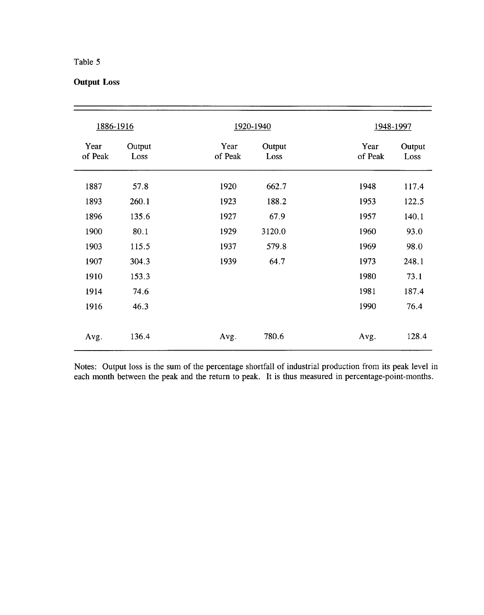## **Output Loss**

| 1886-1916       |                | 1920-1940       |                | 1948-1997       |                |
|-----------------|----------------|-----------------|----------------|-----------------|----------------|
| Year<br>of Peak | Output<br>Loss | Year<br>of Peak | Output<br>Loss | Year<br>of Peak | Output<br>Loss |
| 1887            | 57.8           | 1920            | 662.7          | 1948            | 117.4          |
| 1893            | 260.1          | 1923            | 188.2          | 1953            | 122.5          |
| 1896            | 135.6          | 1927            | 67.9           | 1957            | 140.1          |
| 1900            | 80.1           | 1929            | 3120.0         | 1960            | 93.0           |
| 1903            | 115.5          | 1937            | 579.8          | 1969            | 98.0           |
| 1907            | 304.3          | 1939            | 64.7           | 1973            | 248.1          |
| 1910            | 153.3          |                 |                | 1980            | 73.1           |
| 1914            | 74.6           |                 |                | 1981            | 187.4          |
| 1916            | 46.3           |                 |                | 1990            | 76.4           |
| Avg.            | 136.4          | Avg.            | 780.6          | Avg.            | 128.4          |

Notes: Output loss is the sum of the percentage shortfall of industrial production from its peak level in each month between the peak and the return to peak. It is thus measured in percentage-point-months.